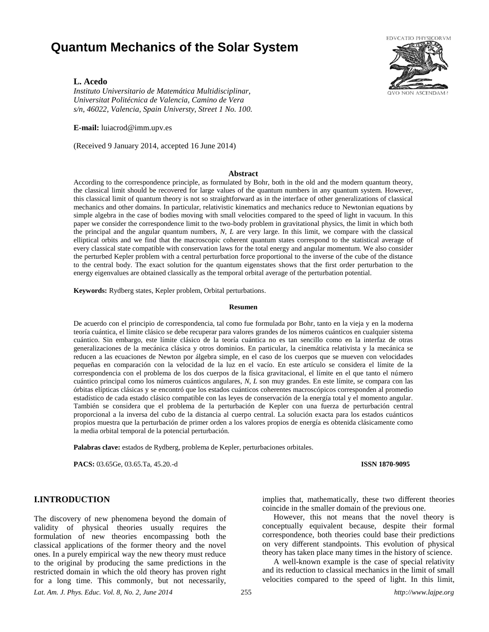# **Quantum Mechanics of the Solar System**



# **L. Acedo**

*Instituto Universitario de Matemática Multidisciplinar, Universitat Politécnica de Valencia, Camino de Vera s/n, 46022, Valencia, Spain Universty, Street 1 No. 100.* 

**E-mail:** luiacrod@imm.upv.es

(Received 9 January 2014, accepted 16 June 2014)

# **Abstract**

According to the correspondence principle, as formulated by Bohr, both in the old and the modern quantum theory, the classical limit should be recovered for large values of the quantum numbers in any quantum system. However, this classical limit of quantum theory is not so straightforward as in the interface of other generalizations of classical mechanics and other domains. In particular, relativistic kinematics and mechanics reduce to Newtonian equations by simple algebra in the case of bodies moving with small velocities compared to the speed of light in vacuum. In this paper we consider the correspondence limit to the two-body problem in gravitational physics, the limit in which both the principal and the angular quantum numbers, *N*, *L* are very large. In this limit, we compare with the classical elliptical orbits and we find that the macroscopic coherent quantum states correspond to the statistical average of every classical state compatible with conservation laws for the total energy and angular momentum. We also consider the perturbed Kepler problem with a central perturbation force proportional to the inverse of the cube of the distance to the central body. The exact solution for the quantum eigenstates shows that the first order perturbation to the energy eigenvalues are obtained classically as the temporal orbital average of the perturbation potential.

**Keywords:** Rydberg states, Kepler problem, Orbital perturbations.

#### **Resumen**

De acuerdo con el principio de correspondencia, tal como fue formulada por Bohr, tanto en la vieja y en la moderna teoría cuántica, el límite clásico se debe recuperar para valores grandes de los números cuánticos en cualquier sistema cuántico. Sin embargo, este límite clásico de la teoría cuántica no es tan sencillo como en la interfaz de otras generalizaciones de la mecánica clásica y otros dominios. En particular, la cinemática relativista y la mecánica se reducen a las ecuaciones de Newton por álgebra simple, en el caso de los cuerpos que se mueven con velocidades pequeñas en comparación con la velocidad de la luz en el vacío. En este artículo se considera el límite de la correspondencia con el problema de los dos cuerpos de la física gravitacional, el límite en el que tanto el número cuántico principal como los números cuánticos angulares, *N*, *L* son muy grandes. En este límite, se compara con las órbitas elípticas clásicas y se encontró que los estados cuánticos coherentes macroscópicos corresponden al promedio estadístico de cada estado clásico compatible con las leyes de conservación de la energía total y el momento angular. También se considera que el problema de la perturbación de Kepler con una fuerza de perturbación central proporcional a la inversa del cubo de la distancia al cuerpo central. La solución exacta para los estados cuánticos propios muestra que la perturbación de primer orden a los valores propios de energía es obtenida clásicamente como la media orbital temporal de la potencial perturbación.

**Palabras clave:** estados de Rydberg, problema de Kepler, perturbaciones orbitales.

**PACS:** 03.65Ge, 03.65.Ta, 45.20.-d **ISSN 1870-9095**

# **I.INTRODUCTION**

The discovery of new phenomena beyond the domain of validity of physical theories usually requires the formulation of new theories encompassing both the classical applications of the former theory and the novel ones. In a purely empirical way the new theory must reduce to the original by producing the same predictions in the restricted domain in which the old theory has proven right for a long time. This commonly, but not necessarily, implies that, mathematically, these two different theories coincide in the smaller domain of the previous one.

However, this not means that the novel theory is conceptually equivalent because, despite their formal correspondence, both theories could base their predictions on very different standpoints. This evolution of physical theory has taken place many times in the history of science.

A well-known example is the case of special relativity and its reduction to classical mechanics in the limit of small velocities compared to the speed of light. In this limit,

*Lat. Am. J. Phys. Educ. Vol. 8, No. 2, June 2014* 255 *http://www.lajpe.org*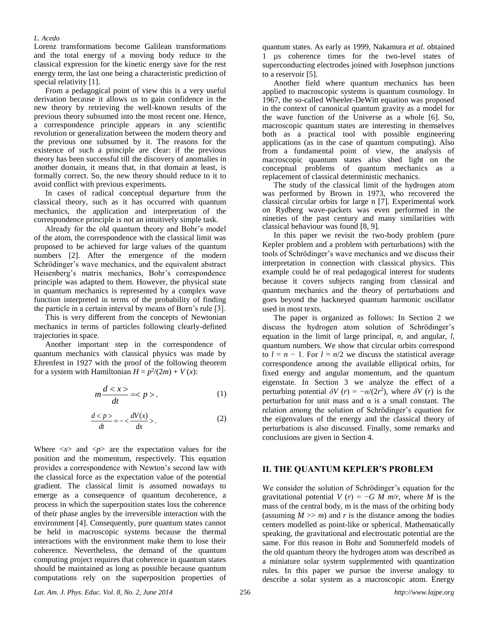#### *L. Acedo*

Lorenz transformations become Galilean transformations and the total energy of a moving body reduce to the classical expression for the kinetic energy save for the rest energy term, the last one being a characteristic prediction of special relativity [1].

From a pedagogical point of view this is a very useful derivation because it allows us to gain confidence in the new theory by retrieving the well-known results of the previous theory subsumed into the most recent one. Hence, a correspondence principle appears in any scientific revolution or generalization between the modern theory and the previous one subsumed by it. The reasons for the existence of such a principle are clear: if the previous theory has been successful till the discovery of anomalies in another domain, it means that, in that domain at least, is formally correct. So, the new theory should reduce to it to avoid conflict with previous experiments.

In cases of radical conceptual departure from the classical theory, such as it has occurred with quantum mechanics, the application and interpretation of the correspondence principle is not an intuitively simple task.

Already for the old quantum theory and Bohr's model of the atom, the correspondence with the classical limit was proposed to be achieved for large values of the quantum numbers [2]. After the emergence of the modern Schrödinger's wave mechanics, and the equivalent abstract Heisenberg's matrix mechanics, Bohr's correspondence principle was adapted to them. However, the physical state in quantum mechanics is represented by a complex wave function interpreted in terms of the probability of finding the particle in a certain interval by means of Born's rule [3].

This is very different from the concepts of Newtonian mechanics in terms of particles following clearly-defined trajectories in space.

Another important step in the correspondence of quantum mechanics with classical physics was made by Ehrenfest in 1927 with the proof of the following theorem for a system with Hamiltonian  $H = p^2/(2m) + V(x)$ :

$$
m\frac{d.
$$
 (1)

$$
\frac{d < p}{dt} = -\langle \frac{dV(x)}{dx} \rangle. \tag{2}
$$

Where  $\langle x \rangle$  and  $\langle p \rangle$  are the expectation values for the position and the momentum, respectively. This equation provides a correspondence with Newton's second law with the classical force as the expectation value of the potential gradient. The classical limit is assumed nowadays to emerge as a consequence of quantum decoherence, a process in which the superposition states loss the coherence of their phase angles by the irreversible interaction with the environment [4]. Consequently, pure quantum states cannot be held in macroscopic systems because the thermal interactions with the environment make them to lose their coherence. Nevertheless, the demand of the quantum computing project requires that coherence in quantum states should be maintained as long as possible because quantum computations rely on the superposition properties of quantum states. As early as 1999, Nakamura *et al*. obtained 1 µs coherence times for the two-level states of superconducting electrodes joined with Josephson junctions to a reservoir [5].

Another field where quantum mechanics has been applied to macroscopic systems is quantum cosmology. In 1967, the so-called Wheeler-DeWitt equation was proposed in the context of canonical quantum gravity as a model for the wave function of the Universe as a whole [6]. So, macroscopic quantum states are interesting in themselves both as a practical tool with possible engineering applications (as in the case of quantum computing). Also from a fundamental point of view, the analysis of macroscopic quantum states also shed light on the conceptual problems of quantum mechanics as a replacement of classical deterministic mechanics.

The study of the classical limit of the hydrogen atom was performed by Brown in 1973, who recovered the classical circular orbits for large n [7]. Experimental work on Rydberg wave-packets was even performed in the nineties of the past century and many similarities with classical behaviour was found [8, 9].

In this paper we revisit the two-body problem (pure Kepler problem and a problem with perturbations) with the tools of Schrödinger's wave mechanics and we discuss their interpretation in connection with classical physics. This example could be of real pedagogical interest for students because it covers subjects ranging from classical and quantum mechanics and the theory of perturbations and goes beyond the hackneyed quantum harmonic oscillator used in most texts.

The paper is organized as follows: In Section 2 we discuss the hydrogen atom solution of Schrödinger's equation in the limit of large principal, *n*, and angular, *l*, quantum numbers. We show that circular orbits correspond to  $l = n - 1$ . For  $l = n/2$  we discuss the statistical average correspondence among the available elliptical orbits, for fixed energy and angular momentum, and the quantum eigenstate. In Section 3 we analyze the effect of a perturbing potential  $\delta V(r) = -\alpha/(2r^2)$ , where  $\delta V(r)$  is the perturbation for unit mass and α is a small constant. The relation among the solution of Schrödinger's equation for the eigenvalues of the energy and the classical theory of perturbations is also discussed. Finally, some remarks and conclusions are given in Section 4.

# **II. THE QUANTUM KEPLER'S PROBLEM**

We consider the solution of Schrödinger's equation for the gravitational potential *V* (*r*) =  $-G \, M \, m/r$ , where *M* is the mass of the central body, m is the mass of the orbiting body (assuming  $M \gg m$ ) and *r* is the distance among the bodies centers modelled as point-like or spherical. Mathematically speaking, the gravitational and electrostatic potential are the same. For this reason in Bohr and Sommerfeld models of the old quantum theory the hydrogen atom was described as a miniature solar system supplemented with quantization rules. In this paper we pursue the inverse analogy to describe a solar system as a macroscopic atom. Energy

*Lat. Am. J. Phys. Educ. Vol. 8, No. 2, June 2014* 256 *http://www.lajpe.org*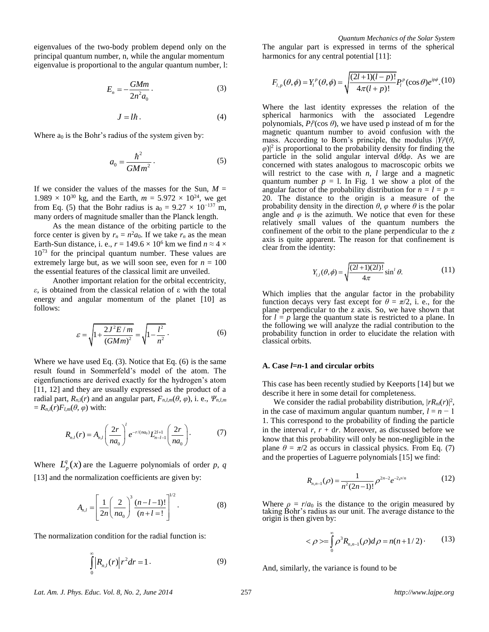eigenvalues of the two-body problem depend only on the principal quantum number, n, while the angular momentum eigenvalue is proportional to the angular quantum number, l:

$$
E_n = -\frac{GMm}{2n^2 a_0}.
$$
 (3)

$$
J = l\hbar. \tag{4}
$$

Where  $a_0$  is the Bohr's radius of the system given by:

$$
a_0 = \frac{\hbar^2}{GMm^2} \,. \tag{5}
$$

If we consider the values of the masses for the Sun,  $M =$  $1.989 \times 10^{30}$  kg, and the Earth,  $m = 5.972 \times 10^{24}$ , we get from Eq. (5) that the Bohr radius is  $a_0 = 9.27 \times 10^{-137}$  m, many orders of magnitude smaller than the Planck length.

As the mean distance of the orbiting particle to the force center is given by  $r_n = n^2 a_0$ . If we take  $r_n$  as the mean Earth-Sun distance, i. e.,  $r = 149.6 \times 10^6$  km we find  $n \approx 4 \times$ 10<sup>73</sup> for the principal quantum number. These values are extremely large but, as we will soon see, even for  $n = 100$ the essential features of the classical limit are unveiled.

Another important relation for the orbital eccentricity, *ε*, is obtained from the classical relation of ε with the total energy and angular momentum of the planet [10] as follows:

$$
\varepsilon = \sqrt{1 + \frac{2J^2 E / m}{(GMm)^2}} = \sqrt{1 - \frac{l^2}{n^2}}.
$$
 (6)

Where we have used Eq. (3). Notice that Eq. (6) is the same result found in Sommerfeld's model of the atom. The eigenfunctions are derived exactly for the hydrogen's atom [11, 12] and they are usually expressed as the product of a radial part,  $R_{n,l}(r)$  and an angular part,  $F_{n,l,m}(\theta, \varphi)$ , i. e.,  $\Psi_{n,l,m}$  $= R_{n,l}(r)F_{l,m}(\theta,\varphi)$  with:

$$
R_{n,l}(r) = A_{n,l} \left(\frac{2r}{na_0}\right)^l e^{-r/(na_0)} L_{n-l-1}^{2l+1} \left(\frac{2r}{na_0}\right).
$$
 (7)

Where  $L_p^q(x)$  are the Laguerre polynomials of order *p*, *q* [13] and the normalization coefficients are given by:

$$
A_{n,l} = \left[\frac{1}{2n} \left(\frac{2}{na_0}\right)^3 \frac{(n-l-1)!}{(n+l)!}\right]^{1/2}.
$$
 (8)

The normalization condition for the radial function is:

$$
\int_{0}^{\infty} |R_{n,l}(r)| r^2 dr = 1.
$$
 (9)

*Quantum Mechanics of the Solar System* The angular part is expressed in terms of the spherical harmonics for any central potential [11]:

$$
F_{l,p}(\theta,\phi) = Y_l^p(\theta,\phi) = \sqrt{\frac{(2l+1)(l-p)!}{4\pi(l+p)!}} P_l^p(\cos\theta) e^{ip\phi}
$$
 (10)

Where the last identity expresses the relation of the spherical harmonics with the associated Legendre polynomials,  $P_l^p(\cos \theta)$ , we have used p instead of m for the magnetic quantum number to avoid confusion with the mass. According to Born's principle, the modulus  $|Y| \neq \theta$ ,  $\varphi$ <sup>2</sup> is proportional to the probability density for finding the particle in the solid angular interval d*θ*d*φ*. As we are concerned with states analogous to macroscopic orbits we will restrict to the case with *n*, *l* large and a magnetic quantum number  $p = 1$ . In Fig. 1 we show a plot of the angular factor of the probability distribution for  $n = l = p =$ 20. The distance to the origin is a measure of the probability density in the direction  $\theta$ ,  $\varphi$  where  $\theta$  is the polar angle and  $\varphi$  is the azimuth. We notice that even for these relatively small values of the quantum numbers the confinement of the orbit to the plane perpendicular to the *z* axis is quite apparent. The reason for that confinement is clear from the identity:

$$
Y_{l,l}(\theta,\phi) = \sqrt{\frac{(2l+1)(2l)!}{4\pi}} \sin^l \theta.
$$
 (11)

Which implies that the angular factor in the probability function decays very fast except for  $\theta = \pi/2$ , i. e., for the plane perpendicular to the z axis. So, we have shown that for  $l = p$  large the quantum state is restricted to a plane. In the following we will analyze the radial contribution to the probability function in order to elucidate the relation with classical orbits.

### **A. Case** *l***=***n***-1 and circular orbits**

This case has been recently studied by Keeports [14] but we describe it here in some detail for completeness.

We consider the radial probability distribution,  $|rR_n(r)|^2$ , in the case of maximum angular quantum number,  $l = n - 1$ 1. This correspond to the probability of finding the particle in the interval  $r, r + dr$ . Moreover, as discussed before we know that this probability will only be non-negligible in the plane  $\theta = \pi/2$  as occurs in classical physics. From Eq. (7) and the properties of Laguerre polynomials [15] we find:

$$
R_{n,n-1}(\rho) = \frac{1}{n^2(2n-1)!} \rho^{2n-2} e^{-2\rho/n}
$$
 (12)

Where  $\rho = r/a_0$  is the distance to the origin measured by taking Bohr's radius as our unit. The average distance to the origin is then given by:

$$
<\rho>=\int_{0}^{\infty}\rho^{3}R_{n,n-1}(\rho)d\rho=n(n+1/2)\,. \qquad (13)
$$

And, similarly, the variance is found to be

*Lat. Am. J. Phys. Educ. Vol. 8, No. 2, June 2014* 257 *http://www.lajpe.org*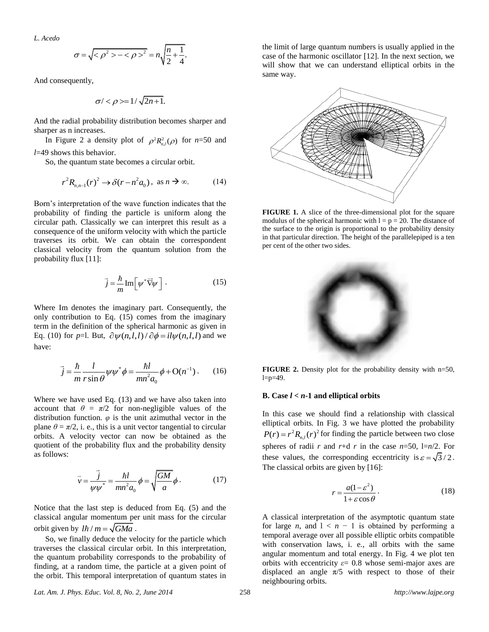*L. Acedo*

$$
\sigma = \sqrt{2\beta^2 - 2\beta^2} = n\sqrt{\frac{n}{2} + \frac{1}{4}}.
$$

And consequently,

$$
\sigma \langle \langle \rho \rangle = 1/\sqrt{2n+1}.
$$

And the radial probability distribution becomes sharper and sharper as n increases.

In Figure 2 a density plot of  $\rho^2 R_{n,l}^2(\rho)$  for *n*=50 and *l*=49 shows this behavior.

So, the quantum state becomes a circular orbit.

$$
r^{2}R_{n,n-1}(r)^{2} \rightarrow \delta(r - n^{2}a_{0}), \text{ as } n \rightarrow \infty.
$$
 (14)

Born's interpretation of the wave function indicates that the probability of finding the particle is uniform along the circular path. Classically we can interpret this result as a consequence of the uniform velocity with which the particle traverses its orbit. We can obtain the correspondent classical velocity from the quantum solution from the probability flux [11]:

$$
\vec{j} = -\frac{\hbar}{m} \text{Im} \left[ \psi^* \vec{\nabla} \psi \right]. \tag{15}
$$

Where Im denotes the imaginary part. Consequently, the only contribution to Eq. (15) comes from the imaginary term in the definition of the spherical harmonic as given in term in the definition of the spherical narmonic as given in<br>Eq. (10) for *p*=l. But,  $\partial \psi(n,l,l) / \partial \phi = i l \psi(n,l,l)$  and we have:

$$
\vec{j} = \frac{\hbar}{m} \frac{l}{r \sin \theta} \psi \psi^* \phi = \frac{\hbar l}{mn^2 a_0} \phi + O(n^{-1}).
$$
 (16)

Where we have used Eq. (13) and we have also taken into account that  $\theta = \pi/2$  for non-negligible values of the distribution function.  $\varphi$  is the unit azimuthal vector in the plane  $\theta = \pi/2$ , i. e., this is a unit vector tangential to circular orbits. A velocity vector can now be obtained as the quotient of the probability flux and the probability density as follows:

$$
\vec{v} = \frac{\vec{j}}{\psi \psi^*} = \frac{\hbar l}{mn^2 a_0} \phi = \sqrt{\frac{GM}{a}} \phi \,. \tag{17}
$$

Notice that the last step is deduced from Eq. (5) and the classical angular momentum per unit mass for the circular orbit given by  $l\hbar / m = \sqrt{GMa}$ .

So, we finally deduce the velocity for the particle which traverses the classical circular orbit. In this interpretation, the quantum probability corresponds to the probability of finding, at a random time, the particle at a given point of the orbit. This temporal interpretation of quantum states in

the limit of large quantum numbers is usually applied in the case of the harmonic oscillator [12]. In the next section, we will show that we can understand elliptical orbits in the same way.



**FIGURE 1.** A slice of the three-dimensional plot for the square modulus of the spherical harmonic with  $l = p = 20$ . The distance of the surface to the origin is proportional to the probability density in that particular direction. The height of the parallelepiped is a ten per cent of the other two sides.



**FIGURE 2.** Density plot for the probability density with n=50,  $l=p=49$ .

#### **B.** Case  $l < n-1$  and elliptical orbits

In this case we should find a relationship with classical elliptical orbits. In Fig. 3 we have plotted the probability  $P(r) = r^2 R_{n,l}(r)^2$  for finding the particle between two close spheres of radii *r* and  $r+d$  *r* in the case  $n=50$ ,  $1=n/2$ . For these values, the corresponding eccentricity is  $\varepsilon = \sqrt{3}/2$ . The classical orbits are given by [16]:

$$
r = \frac{a(1 - \varepsilon^2)}{1 + \varepsilon \cos \theta}.
$$
 (18)

A classical interpretation of the asymptotic quantum state for large *n*, and  $1 < n - 1$  is obtained by performing a temporal average over all possible elliptic orbits compatible with conservation laws, i. e., all orbits with the same angular momentum and total energy. In Fig. 4 we plot ten orbits with eccentricity  $\varepsilon$  = 0.8 whose semi-major axes are displaced an angle  $\pi/5$  with respect to those of their neighbouring orbits.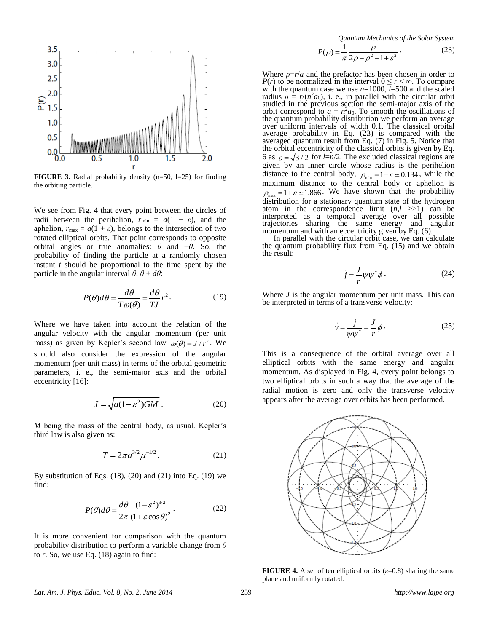

**FIGURE 3.** Radial probability density (n=50, l=25) for finding the orbiting particle.

We see from Fig. 4 that every point between the circles of radii between the perihelion,  $r_{\text{min}} = a(1 - \varepsilon)$ , and the aphelion,  $r_{\text{max}} = a(1 + \varepsilon)$ , belongs to the intersection of two rotated elliptical orbits. That point corresponds to opposite orbital angles or true anomalies:  $\theta$  and  $-\theta$ . So, the probability of finding the particle at a randomly chosen instant *t* should be proportional to the time spent by the particle in the angular interval  $\theta$ ,  $\theta + d\theta$ :

$$
P(\theta)d\theta = \frac{d\theta}{T\omega(\theta)} = \frac{d\theta}{T J}r^2.
$$
 (19)

Where we have taken into account the relation of the angular velocity with the angular momentum (per unit mass) as given by Kepler's second law  $\omega(\theta) = J/r^2$ . We should also consider the expression of the angular momentum (per unit mass) in terms of the orbital geometric parameters, i. e., the semi-major axis and the orbital eccentricity [16]:

$$
J = \sqrt{a(1 - \varepsilon^2)GM} \ . \tag{20}
$$

*M* being the mass of the central body, as usual. Kepler's third law is also given as:

$$
T = 2\pi a^{3/2} \mu^{-1/2}.
$$
 (21)

By substitution of Eqs.  $(18)$ ,  $(20)$  and  $(21)$  into Eq.  $(19)$  we find:

$$
P(\theta)d\theta = \frac{d\theta}{2\pi} \frac{(1 - \varepsilon^2)^{3/2}}{(1 + \varepsilon \cos \theta)^2}.
$$
 (22)

It is more convenient for comparison with the quantum probability distribution to perform a variable change from *θ* to *r*. So, we use Eq. (18) again to find:

*Quantum Mechanics of the Solar System*

$$
P(\rho) = \frac{1}{\pi} \frac{\rho}{2\rho - \rho^2 - 1 + \varepsilon^2}.
$$
 (23)

Where  $\rho = r/a$  and the prefactor has been chosen in order to *P(r)* to be normalized in the interval  $0 \le r < \infty$ . To compare with the quantum case we use *n*=1000, *l*=500 and the scaled radius  $\rho = r/(n^2 a_0)$ , i. e., in parallel with the circular orbit studied in the previous section the semi-major axis of the orbit correspond to  $a = n^2 a_0$ . To smooth the oscillations of the quantum probability distribution we perform an average over uniform intervals of width 0.1. The classical orbital average probability in Eq. (23) is compared with the averaged quantum result from Eq. (7) in Fig. 5. Notice that the orbital eccentricity of the classical orbits is given by Eq. 6 as  $\varepsilon = \sqrt{3}/2$  for *l*=n/2. The excluded classical regions are given by an inner circle whose radius is the perihelion distance to the central body,  $\rho_{\min} = 1 - \varepsilon \approx 0.134$ , while the maximum distance to the central body or aphelion is  $\rho_{\text{max}} = 1 + \varepsilon \approx 1.866$ . We have shown that the probability distribution for a stationary quantum state of the hydrogen atom in the correspondence limit  $(n, l \gg 1)$  can be interpreted as a temporal average over all possible trajectories sharing the same energy and angular momentum and with an eccentricity given by Eq.  $(6)$ .

In parallel with the circular orbit case, we can calculate the quantum probability flux from Eq. (15) and we obtain the result:

$$
\vec{j} = \frac{J}{r} \psi \psi^* \phi \,. \tag{24}
$$

Where *J* is the angular momentum per unit mass. This can be interpreted in terms of a transverse velocity:

$$
\vec{v} = \frac{\vec{j}}{\psi \psi^*} = \frac{J}{r} \phi \,. \tag{25}
$$

This is a consequence of the orbital average over all elliptical orbits with the same energy and angular momentum. As displayed in Fig. 4, every point belongs to two elliptical orbits in such a way that the average of the radial motion is zero and only the transverse velocity appears after the average over orbits has been performed.



**FIGURE 4.** A set of ten elliptical orbits  $(\varepsilon=0.8)$  sharing the same plane and uniformly rotated.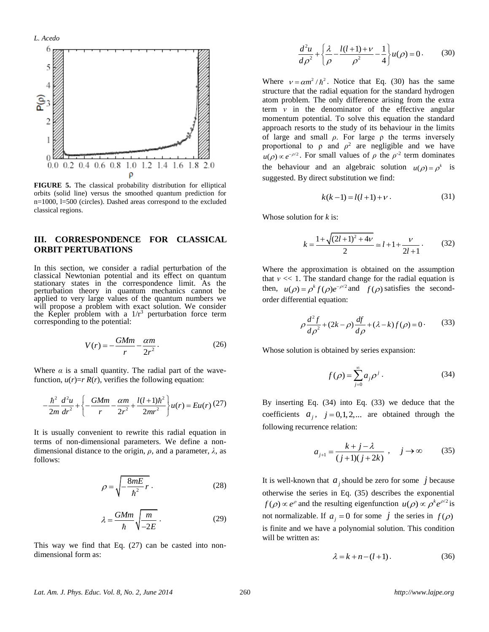

**FIGURE 5.** The classical probability distribution for elliptical orbits (solid line) versus the smoothed quantum prediction for n=1000, l=500 (circles). Dashed areas correspond to the excluded classical regions.

# **III. CORRESPONDENCE FOR CLASSICAL ORBIT PERTUBATIONS**

In this section, we consider a radial perturbation of the classical Newtonian potential and its effect on quantum stationary states in the correspondence limit. As the perturbation theory in quantum mechanics cannot be applied to very large values of the quantum numbers we will propose a problem with exact solution. We consider the Kepler problem with a  $1/r^3$  perturbation force term corresponding to the potential:

$$
V(r) = -\frac{GMm}{r} - \frac{\alpha m}{2r^2}.
$$
 (26)

Where  $\alpha$  is a small quantity. The radial part of the wave-

function, 
$$
u(r)=r R(r)
$$
, verifies the following equation:  
\n
$$
-\frac{\hbar^2}{2m}\frac{d^2u}{dr^2} + \left\{-\frac{GMm}{r} - \frac{\alpha m}{2r^2} + \frac{l(l+1)\hbar^2}{2mr^2}\right\}u(r) = Eu(r)(27)
$$

It is usually convenient to rewrite this radial equation in terms of non-dimensional parameters. We define a nondimensional distance to the origin, *ρ*, and a parameter, *λ*, as follows:

$$
\rho = \sqrt{-\frac{8mE}{\hbar^2}r}.
$$
\n(28)

$$
\lambda = \frac{GMm}{\hbar} \sqrt{\frac{m}{-2E}} \,. \tag{29}
$$

This way we find that Eq. (27) can be casted into nondimensional form as:

$$
\frac{d^2u}{d\rho^2} + \left\{\frac{\lambda}{\rho} - \frac{l(l+1)+\nu}{\rho^2} - \frac{1}{4}\right\}u(\rho) = 0.
$$
 (30)

Where  $v = \alpha m^2 / \hbar^2$ . Notice that Eq. (30) has the same structure that the radial equation for the standard hydrogen atom problem. The only difference arising from the extra term *ν* in the denominator of the effective angular momentum potential. To solve this equation the standard approach resorts to the study of its behaviour in the limits of large and small  $\rho$ . For large  $\rho$  the terms inversely proportional to  $ρ$  and  $ρ<sup>2</sup>$  are negligible and we have  $u(\rho) \propto e^{-\rho/2}$ . For small values of  $\rho$  the  $\rho^2$  term dominates the behaviour and an algebraic solution  $u(\rho) = \rho^k$  is suggested. By direct substitution we find:

$$
k(k-1) = l(l+1) + \nu.
$$
 (31)

Whose solution for *k* is:

$$
k = \frac{1 + \sqrt{(2l+1)^2 + 4\nu}}{2} \approx l + 1 + \frac{\nu}{2l+1}.
$$
 (32)

Where the approximation is obtained on the assumption that  $v \ll 1$ . The standard change for the radial equation is then,  $u(\rho) = \rho^k f(\rho) e^{-\rho/2}$  and  $f(\rho)$  satisfies the secondorder differential equation:

$$
\rho \frac{d^2 f}{d\rho^2} + (2k - \rho) \frac{df}{d\rho} + (\lambda - k) f(\rho) = 0.
$$
 (33)

Whose solution is obtained by series expansion:

$$
f(\rho) = \sum_{j=0}^{\infty} a_j \rho^j.
$$
 (34)

By inserting Eq. (34) into Eq. (33) we deduce that the coefficients  $a_j$ ,  $j = 0, 1, 2,...$  are obtained through the following recurrence relation:

$$
a_{j+1} = \frac{k+j-\lambda}{(j+1)(j+2k)} , \quad j \to \infty
$$
 (35)

It is well-known that  $a_j$  should be zero for some  $j$  because otherwise the series in Eq. (35) describes the exponential  $f(\rho) \propto e^{\rho}$  and the resulting eigenfunction  $u(\rho) \propto \rho^k e^{\rho/2}$  is not normalizable. If  $a_j = 0$  for some  $j$  the series in  $f(\rho)$ is finite and we have a polynomial solution. This condition will be written as:

$$
\lambda = k + n - (l + 1). \tag{36}
$$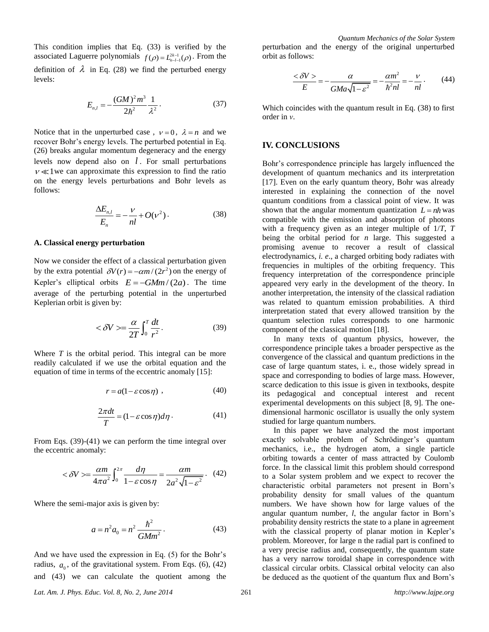This condition implies that Eq. (33) is verified by the associated Laguerre polynomials  $f(\rho) = L_{n-l-1}^{2k-1}(\rho)$ . From the definition of  $\lambda$  in Eq. (28) we find the perturbed energy levels:

$$
E_{n,l} = -\frac{(GM)^2 m^3}{2\hbar^2} \frac{1}{\lambda^2}.
$$
 (37)

Notice that in the unperturbed case,  $v=0$ ,  $\lambda = n$  and we recover Bohr's energy levels. The perturbed potential in Eq. (26) breaks angular momentum degeneracy and the energy levels now depend also on *l* . For small perturbations  $v \ll 1$  we can approximate this expression to find the ratio on the energy levels perturbations and Bohr levels as follows:

$$
\frac{\Delta E_{n,l}}{E_n} = -\frac{\nu}{nl} + O(\nu^2). \tag{38}
$$

# **A. Classical energy perturbation**

Now we consider the effect of a classical perturbation given by the extra potential  $\delta V(r) = -\alpha m/(2r^2)$  on the energy of Kepler's elliptical orbits  $E = -GMm/(2a)$ . The time average of the perturbing potential in the unperturbed Keplerian orbit is given by:

$$
\langle \delta V \rangle = \frac{\alpha}{2T} \int_0^T \frac{dt}{r^2}.
$$
 (39)

Where *T* is the orbital period. This integral can be more readily calculated if we use the orbital equation and the equation of time in terms of the eccentric anomaly [15]:

$$
r = a(1 - \varepsilon \cos \eta) \tag{40}
$$

$$
\frac{2\pi dt}{T} = (1 - \varepsilon \cos \eta) d\eta \,. \tag{41}
$$

From Eqs. (39)-(41) we can perform the time integral over the eccentric anomaly:

$$
\langle \delta V \rangle = \frac{\alpha m}{4\pi a^2} \int_0^{2\pi} \frac{d\eta}{1 - \varepsilon \cos \eta} = \frac{\alpha m}{2a^2 \sqrt{1 - \varepsilon^2}}. \tag{42}
$$

Where the semi-major axis is given by:

$$
a = n^2 a_0 = n^2 \frac{\hbar^2}{GMm^2} \,. \tag{43}
$$

And we have used the expression in Eq. (5) for the Bohr's radius,  $a_0$ , of the gravitational system. From Eqs. (6), (42) and (43) we can calculate the quotient among the

*Quantum Mechanics of the Solar System* perturbation and the energy of the original unperturbed orbit as follows:

$$
\frac{<\delta V>}{E} = -\frac{\alpha}{GMa\sqrt{1-\varepsilon^2}} = -\frac{\alpha m^2}{\hbar^2 n l} = -\frac{v}{nl}.
$$
 (44)

Which coincides with the quantum result in Eq. (38) to first order in *ν*.

# **IV. CONCLUSIONS**

Bohr's correspondence principle has largely influenced the development of quantum mechanics and its interpretation [17]. Even on the early quantum theory, Bohr was already interested in explaining the connection of the novel quantum conditions from a classical point of view. It was shown that the angular momentum quantization  $L = nh$  was compatible with the emission and absorption of photons with a frequency given as an integer multiple of 1/*T*, *T* being the orbital period for *n* large. This suggested a promising avenue to recover a result of classical electrodynamics*, i. e*., a charged orbiting body radiates with frequencies in multiples of the orbiting frequency. This frequency interpretation of the correspondence principle appeared very early in the development of the theory. In another interpretation, the intensity of the classical radiation was related to quantum emission probabilities. A third interpretation stated that every allowed transition by the quantum selection rules corresponds to one harmonic component of the classical motion [18].

In many texts of quantum physics, however, the correspondence principle takes a broader perspective as the convergence of the classical and quantum predictions in the case of large quantum states, i. e., those widely spread in space and corresponding to bodies of large mass. However, scarce dedication to this issue is given in textbooks, despite its pedagogical and conceptual interest and recent experimental developments on this subject [8, 9]. The onedimensional harmonic oscillator is usually the only system studied for large quantum numbers.

In this paper we have analyzed the most important exactly solvable problem of Schrödinger's quantum mechanics, i.e., the hydrogen atom, a single particle orbiting towards a center of mass attracted by Coulomb force. In the classical limit this problem should correspond to a Solar system problem and we expect to recover the characteristic orbital parameters not present in Born's probability density for small values of the quantum numbers. We have shown how for large values of the angular quantum number, *l*, the angular factor in Born's probability density restricts the state to a plane in agreement with the classical property of planar motion in Kepler's problem. Moreover, for large n the radial part is confined to a very precise radius and, consequently, the quantum state has a very narrow toroidal shape in correspondence with classical circular orbits. Classical orbital velocity can also be deduced as the quotient of the quantum flux and Born's

*Lat. Am. J. Phys. Educ. Vol. 8, No. 2, June 2014* 261 *http://www.lajpe.org*